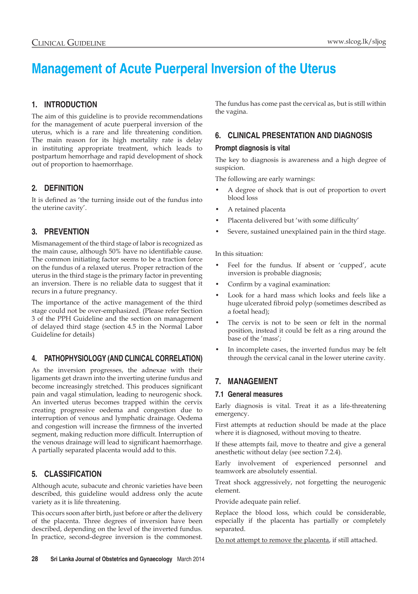# **Management of Acute Puerperal Inversion of the Uterus**

# **1. Introduction**

The aim of this guideline is to provide recommendations for the management of acute puerperal inversion of the uterus, which is a rare and life threatening condition. The main reason for its high mortality rate is delay in instituting appropriate treatment, which leads to postpartum hemorrhage and rapid development of shock out of proportion to haemorrhage.

## **2. Definition**

It is defined as 'the turning inside out of the fundus into the uterine cavity'.

# **3. PREVENTION**

Mismanagement of the third stage of labor is recognized as the main cause, although 50% have no identifiable cause. The common initiating factor seems to be a traction force on the fundus of a relaxed uterus. Proper retraction of the uterus in the third stage is the primary factor in preventing an inversion. There is no reliable data to suggest that it recurs in a future pregnancy.

The importance of the active management of the third stage could not be over-emphasized. (Please refer Section 3 of the PPH Guideline and the section on management of delayed third stage (section 4.5 in the Normal Labor Guideline for details)

# **4. PATHOPHYSIOLOGY (and clinical correlation)**

As the inversion progresses, the adnexae with their ligaments get drawn into the inverting uterine fundus and become increasingly stretched. This produces significant pain and vagal stimulation, leading to neurogenic shock. An inverted uterus becomes trapped within the cervix creating progressive oedema and congestion due to interruption of venous and lymphatic drainage. Oedema and congestion will increase the firmness of the inverted segment, making reduction more difficult. Interruption of the venous drainage will lead to significant haemorrhage. A partially separated placenta would add to this.

# **5. CLASSIFICATION**

Although acute, subacute and chronic varieties have been described, this guideline would address only the acute variety as it is life threatening.

This occurs soon after birth, just before or after the delivery of the placenta. Three degrees of inversion have been described, depending on the level of the inverted fundus. In practice, second-degree inversion is the commonest. The fundus has come past the cervical as, but is still within the vagina.

# **6. CLINICAL PRESENTATION AND DIAGNOSIS**

## **Prompt diagnosis is vital**

The key to diagnosis is awareness and a high degree of suspicion.

The following are early warnings:

- A degree of shock that is out of proportion to overt blood loss
- A retained placenta
- Placenta delivered but 'with some difficulty'
- Severe, sustained unexplained pain in the third stage.

In this situation:

- Feel for the fundus. If absent or 'cupped', acute inversion is probable diagnosis;
- Confirm by a vaginal examination:
- Look for a hard mass which looks and feels like a huge ulcerated fibroid polyp (sometimes described as a foetal head);
- The cervix is not to be seen or felt in the normal position, instead it could be felt as a ring around the base of the 'mass';
- In incomplete cases, the inverted fundus may be felt through the cervical canal in the lower uterine cavity.

# **7. MANAGEMENT**

### **7.1 General measures**

Early diagnosis is vital. Treat it as a life-threatening emergency.

First attempts at reduction should be made at the place where it is diagnosed, without moving to theatre.

If these attempts fail, move to theatre and give a general anesthetic without delay (see section 7.2.4).

Early involvement of experienced personnel and teamwork are absolutely essential.

Treat shock aggressively, not forgetting the neurogenic element.

Provide adequate pain relief.

Replace the blood loss, which could be considerable, especially if the placenta has partially or completely separated.

Do not attempt to remove the placenta, if still attached.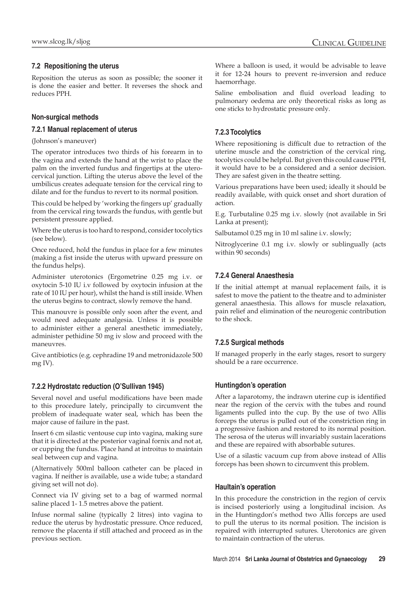## **7.2 Repositioning the uterus**

Reposition the uterus as soon as possible; the sooner it is done the easier and better. It reverses the shock and reduces PPH.

## **Non-surgical methods**

#### **7.2.1 Manual replacement of uterus**

(Johnson's maneuver)

The operator introduces two thirds of his forearm in to the vagina and extends the hand at the wrist to place the palm on the inverted fundus and fingertips at the uterocervical junction. Lifting the uterus above the level of the umbilicus creates adequate tension for the cervical ring to dilate and for the fundus to revert to its normal position.

This could be helped by 'working the fingers up' gradually from the cervical ring towards the fundus, with gentle but persistent pressure applied.

Where the uterus is too hard to respond, consider tocolytics (see below).

Once reduced, hold the fundus in place for a few minutes (making a fist inside the uterus with upward pressure on the fundus helps).

Administer uterotonics (Ergometrine 0.25 mg i.v. or oxytocin 5-10 IU i.v followed by oxytocin infusion at the rate of 10 IU per hour), whilst the hand is still inside. When the uterus begins to contract, slowly remove the hand.

This manouvre is possible only soon after the event, and would need adequate analgesia. Unless it is possible to administer either a general anesthetic immediately, administer pethidine 50 mg iv slow and proceed with the maneuvres.

Give antibiotics (e.g. cephradine 19 and metronidazole 500 mg IV).

### **7.2.2 Hydrostatc reduction (O'Sullivan 1945)**

Several novel and useful modifications have been made to this procedure lately, principally to circumvent the problem of inadequate water seal, which has been the major cause of failure in the past.

Insert 6 cm silastic ventouse cup into vagina, making sure that it is directed at the posterior vaginal fornix and not at, or cupping the fundus. Place hand at introitus to maintain seal between cup and vagina.

(Alternatively 500ml balloon catheter can be placed in vagina. If neither is available, use a wide tube; a standard giving set will not do).

Connect via IV giving set to a bag of warmed normal saline placed 1- 1.5 metres above the patient.

Infuse normal saline (typically 2 litres) into vagina to reduce the uterus by hydrostatic pressure. Once reduced, remove the placenta if still attached and proceed as in the previous section.

Where a balloon is used, it would be advisable to leave it for 12-24 hours to prevent re-inversion and reduce haemorrhage.

Saline embolisation and fluid overload leading to pulmonary oedema are only theoretical risks as long as one sticks to hydrostatic pressure only.

## **7.2.3 Tocolytics**

Where repositioning is difficult due to retraction of the uterine muscle and the constriction of the cervical ring, tocolytics could be helpful. But given this could cause PPH, it would have to be a considered and a senior decision. They are safest given in the theatre setting.

Various preparations have been used; ideally it should be readily available, with quick onset and short duration of action.

E.g. Turbutaline 0.25 mg i.v. slowly (not available in Sri Lanka at present);

Salbutamol 0.25 mg in 10 ml saline i.v. slowly;

Nitroglycerine 0.1 mg i.v. slowly or sublingually (acts within 90 seconds)

## **7.2.4 General Anaesthesia**

If the initial attempt at manual replacement fails, it is safest to move the patient to the theatre and to administer general anaesthesia. This allows for muscle relaxation, pain relief and elimination of the neurogenic contribution to the shock.

## **7.2.5 Surgical methods**

If managed properly in the early stages, resort to surgery should be a rare occurrence.

### **Huntingdon's operation**

After a laparotomy, the indrawn uterine cup is identified near the region of the cervix with the tubes and round ligaments pulled into the cup. By the use of two Allis forceps the uterus is pulled out of the constriction ring in a progressive fashion and restored to its normal position. The serosa of the uterus will invariably sustain lacerations and these are repaired with absorbable sutures.

Use of a silastic vacuum cup from above instead of Allis forceps has been shown to circumvent this problem.

#### **Haultain's operation**

In this procedure the constriction in the region of cervix is incised posteriorly using a longitudinal incision. As in the Huntingdon's method two Allis forceps are used to pull the uterus to its normal position. The incision is repaired with interrupted sutures. Uterotonics are given to maintain contraction of the uterus.